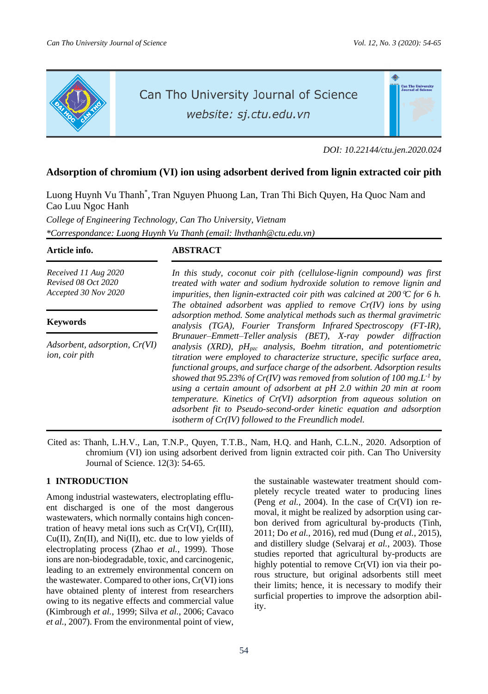Ò

an Tho Universit<mark>y</mark><br>nurnal of Science



# Can Tho University Journal of Science

website: sj.ctu.edu.vn

*DOI: 10.22144/ctu.jen.2020.024*

# **Adsorption of chromium (VI) ion using adsorbent derived from lignin extracted coir pith**

Luong Huynh Vu Thanh\* , Tran Nguyen Phuong Lan, Tran Thi Bich Quyen, Ha Quoc Nam and Cao Luu Ngoc Hanh

*College of Engineering Technology, Can Tho University, Vietnam \*Correspondance: Luong Huynh Vu Thanh (email: lhvthanh@ctu.edu.vn)*

# **Article info. ABSTRACT**

*Received 11 Aug 2020 Revised 08 Oct 2020 Accepted 30 Nov 2020*

# **Keywords**

*Adsorbent, adsorption, Cr(VI) ion, coir pith*

*In this study, coconut coir pith (cellulose-lignin compound) was first treated with water and sodium hydroxide solution to remove lignin and impurities, then lignin-extracted coir pith was calcined at 200C for 6 h. The obtained adsorbent was applied to remove Cr(IV) ions by using adsorption method. Some analytical methods such as thermal gravimetric analysis (TGA), Fourier Transform Infrared Spectroscopy (FT-IR), Brunauer–Emmett–Teller analysis (BET), X-ray powder diffraction analysis (XRD), pHpzc analysis, Boehm titration, and potentiometric titration were employed to characterize structure, specific surface area, functional groups, and surface charge of the adsorbent. Adsorption results*  showed that 95.23% of  $Cr(IV)$  was removed from solution of 100 mg.L<sup>-1</sup> by *using a certain amount of adsorbent at pH 2.0 within 20 min at room temperature. Kinetics of Cr(VI) adsorption from aqueous solution on adsorbent fit to Pseudo-second-order kinetic equation and adsorption isotherm of Cr(IV) followed to the Freundlich model.*

Cited as: Thanh, L.H.V., Lan, T.N.P., Quyen, T.T.B., Nam, H.Q. and Hanh, C.L.N., 2020. Adsorption of chromium (VI) ion using adsorbent derived from lignin extracted coir pith. Can Tho University Journal of Science. 12(3): 54-65.

# **1 INTRODUCTION**

Among industrial wastewaters, electroplating effluent discharged is one of the most dangerous wastewaters, which normally contains high concentration of heavy metal ions such as Cr(VI), Cr(III),  $Cu(II)$ ,  $Zn(II)$ , and  $Ni(II)$ , etc. due to low yields of electroplating process (Zhao *et al.*, 1999). Those ions are non-biodegradable, toxic, and carcinogenic, leading to an extremely environmental concern on the wastewater. Compared to other ions, Cr(VI) ions have obtained plenty of interest from researchers owing to its negative effects and commercial value (Kimbrough *et al.*, 1999; Silva *et al.*, 2006; Cavaco *et al.*, 2007). From the environmental point of view,

the sustainable wastewater treatment should completely recycle treated water to producing lines (Peng *et al.*, 2004). In the case of Cr(VI) ion removal, it might be realized by adsorption using carbon derived from agricultural by-products (Tinh, 2011; Do *et al.*, 2016), red mud (Dung *et al.*, 2015), and distillery sludge (Selvaraj *et al.*, 2003). Those studies reported that agricultural by-products are highly potential to remove Cr(VI) ion via their porous structure, but original adsorbents still meet their limits; hence, it is necessary to modify their surficial properties to improve the adsorption ability.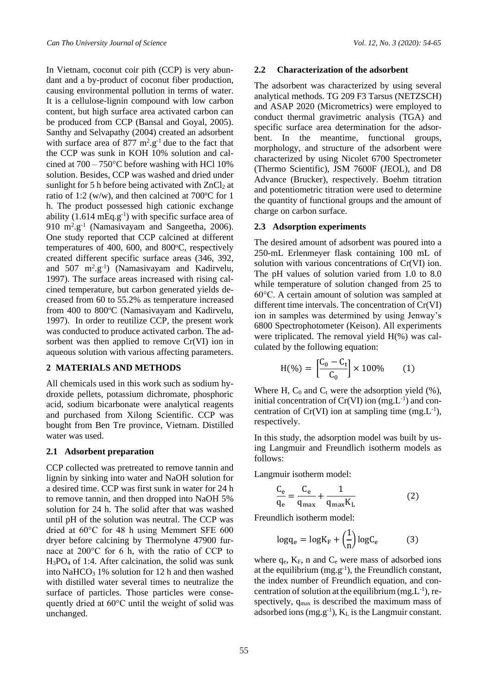In Vietnam, coconut coir pith (CCP) is very abundant and a by-product of coconut fiber production, causing environmental pollution in terms of water. It is a cellulose-lignin compound with low carbon content, but high surface area activated carbon can be produced from CCP (Bansal and Goyal, 2005). Santhy and Selvapathy (2004) created an adsorbent with surface area of  $877 \text{ m}^2 \text{.} \text{g}^{-1}$  due to the fact that the CCP was sunk in KOH 10% solution and calcined at  $700 - 750$ °C before washing with HCl 10% solution. Besides, CCP was washed and dried under sunlight for 5 h before being activated with  $ZnCl<sub>2</sub>$  at ratio of 1:2 (w/w), and then calcined at  $700^{\circ}$ C for 1 h. The product possessed high cationic exchange ability  $(1.614 \text{ mEq.} \text{g}^{-1})$  with specific surface area of 910 m<sup>2</sup>.g<sup>-1</sup> (Namasivayam and Sangeetha, 2006). One study reported that CCP calcined at different temperatures of 400, 600, and  $800^{\circ}$ C, respectively created different specific surface areas (346, 392, and 507 m<sup>2</sup>.g<sup>-1</sup>) (Namasivayam and Kadirvelu, 1997). The surface areas increased with rising calcined temperature, but carbon generated yields decreased from 60 to 55.2% as temperature increased from 400 to 800°C (Namasivayam and Kadirvelu, 1997). In order to reutilize CCP, the present work was conducted to produce activated carbon. The adsorbent was then applied to remove Cr(VI) ion in aqueous solution with various affecting parameters.

#### **2 MATERIALS AND METHODS**

All chemicals used in this work such as sodium hydroxide pellets, potassium dichromate, phosphoric acid, sodium bicarbonate were analytical reagents and purchased from Xilong Scientific. CCP was bought from Ben Tre province, Vietnam. Distilled water was used.

#### **2.1 Adsorbent preparation**

CCP collected was pretreated to remove tannin and lignin by sinking into water and NaOH solution for a desired time. CCP was first sunk in water for 24 h to remove tannin, and then dropped into NaOH 5% solution for 24 h. The solid after that was washed until pH of the solution was neutral. The CCP was dried at 60°C for 48 h using Memmert SFE 600 dryer before calcining by Thermolyne 47900 furnace at 200°C for 6 h, with the ratio of CCP to H3PO<sup>4</sup> of 1:4. After calcination, the solid was sunk into NaHCO<sub>3</sub> 1% solution for 12 h and then washed with distilled water several times to neutralize the surface of particles. Those particles were consequently dried at 60°C until the weight of solid was unchanged.

### **2.2 Characterization of the adsorbent**

The adsorbent was characterized by using several analytical methods. TG 209 F3 Tarsus (NETZSCH) and ASAP 2020 (Micrometrics) were employed to conduct thermal gravimetric analysis (TGA) and specific surface area determination for the adsorbent. In the meantime, functional groups, morphology, and structure of the adsorbent were characterized by using Nicolet 6700 Spectrometer (Thermo Scientific), JSM 7600F (JEOL), and D8 Advance (Brucker), respectively. Boehm titration and potentiometric titration were used to determine the quantity of functional groups and the amount of charge on carbon surface.

#### **2.3 Adsorption experiments**

The desired amount of adsorbent was poured into a 250-mL Erlenmeyer flask containing 100 mL of solution with various concentrations of Cr(VI) ion. The pH values of solution varied from 1.0 to 8.0 while temperature of solution changed from 25 to 60°C. A certain amount of solution was sampled at different time intervals. The concentration of Cr(VI) ion in samples was determined by using Jenway's 6800 Spectrophotometer (Keison). All experiments were triplicated. The removal yield H(%) was calculated by the following equation:

$$
H(\% ) = \left[ \frac{C_0 - C_t}{C_0} \right] \times 100\% \qquad (1)
$$

Where H,  $C_0$  and  $C_t$  were the adsorption yield (%), initial concentration of  $Cr(VI)$  ion (mg.  $L^{-1}$ ) and concentration of  $Cr(VI)$  ion at sampling time  $(mg.L^{-1})$ , respectively.

In this study, the adsorption model was built by using Langmuir and Freundlich isotherm models as follows:

Langmuir isotherm model:

$$
\frac{C_e}{q_e} = \frac{C_e}{q_{max}} + \frac{1}{q_{max}K_L}
$$
 (2)

Freundlich isotherm model:

$$
\log q_e = \log K_F + \left(\frac{1}{n}\right) \log C_e \tag{3}
$$

where  $q_e$ ,  $K_F$ , n and  $C_e$  were mass of adsorbed ions at the equilibrium  $(mg.g^{-1})$ , the Freundlich constant, the index number of Freundlich equation, and concentration of solution at the equilibrium  $(mg.L^{-1})$ , respectively, qmax is described the maximum mass of adsorbed ions  $(mg.g^{-1})$ ,  $K<sub>L</sub>$  is the Langmuir constant.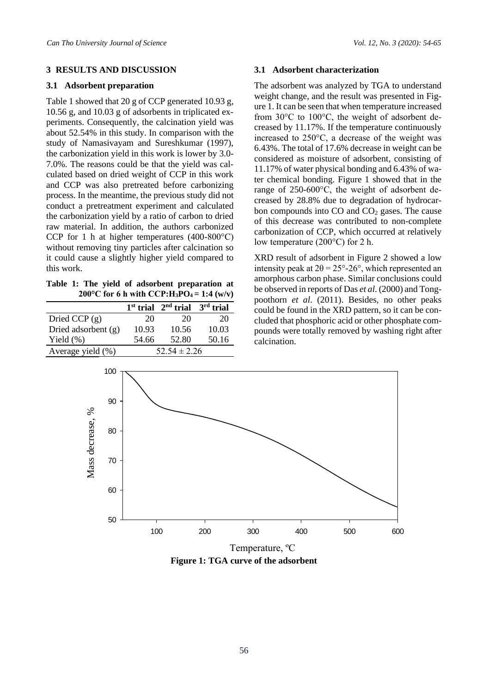# **3 RESULTS AND DISCUSSION**

# **3.1 Adsorbent preparation**

Table 1 showed that 20 g of CCP generated 10.93 g, 10.56 g, and 10.03 g of adsorbents in triplicated experiments. Consequently, the calcination yield was about 52.54% in this study. In comparison with the study of Namasivayam and Sureshkumar (1997), the carbonization yield in this work is lower by 3.0- 7.0%. The reasons could be that the yield was calculated based on dried weight of CCP in this work and CCP was also pretreated before carbonizing process. In the meantime, the previous study did not conduct a pretreatment experiment and calculated the carbonization yield by a ratio of carbon to dried raw material. In addition, the authors carbonized CCP for 1 h at higher temperatures (400-800°C) without removing tiny particles after calcination so it could cause a slightly higher yield compared to this work.

**Table 1: The yield of adsorbent preparation at 200°C for 6 h with CCP:H<sub>3</sub>PO<sub>4</sub> = 1:4 (w/v)** 

|                       |       | $1st$ trial $2nd$ trial | $3rd$ trial |  |  |
|-----------------------|-------|-------------------------|-------------|--|--|
| Dried CCP $(g)$       | 20    | 20                      | 20          |  |  |
| Dried adsorbent $(g)$ | 10.93 | 10.56                   | 10.03       |  |  |
| Yield $(\%)$          | 54.66 | 52.80                   | 50.16       |  |  |
| Average yield (%)     |       | $52.54 \pm 2.26$        |             |  |  |

#### **3.1 Adsorbent characterization**

The adsorbent was analyzed by TGA to understand weight change, and the result was presented in Figure 1. It can be seen that when temperature increased from 30°C to 100°C, the weight of adsorbent decreased by 11.17%. If the temperature continuously increased to 250°C, a decrease of the weight was 6.43%. The total of 17.6% decrease in weight can be considered as moisture of adsorbent, consisting of 11.17% of water physical bonding and 6.43% of water chemical bonding. Figure 1 showed that in the range of 250-600°C, the weight of adsorbent decreased by 28.8% due to degradation of hydrocarbon compounds into  $CO$  and  $CO<sub>2</sub>$  gases. The cause of this decrease was contributed to non-complete carbonization of CCP, which occurred at relatively low temperature (200°C) for 2 h.

XRD result of adsorbent in Figure 2 showed a low intensity peak at  $2\theta = 25^{\circ} - 26^{\circ}$ , which represented an amorphous carbon phase. Similar conclusions could be observed in reports of Das *et al*. (2000) and Tongpoothorn *et al*. (2011). Besides, no other peaks could be found in the XRD pattern, so it can be concluded that phosphoric acid or other phosphate compounds were totally removed by washing right after calcination.



**Figure 1: TGA curve of the adsorbent**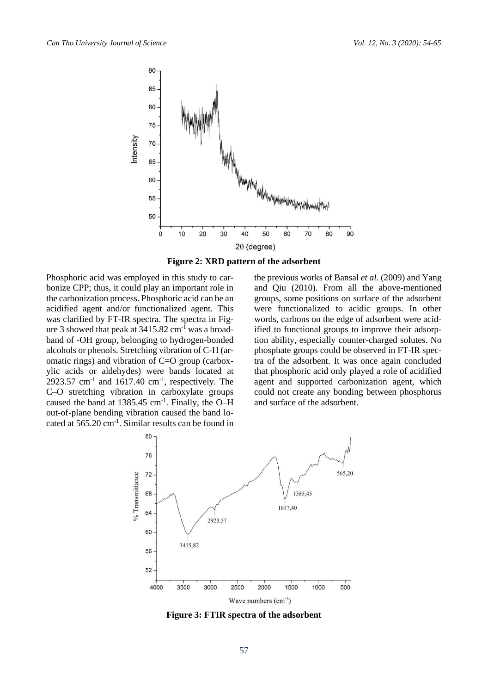

**Figure 2: XRD pattern of the adsorbent**

Phosphoric acid was employed in this study to carbonize CPP; thus, it could play an important role in the carbonization process. Phosphoric acid can be an acidified agent and/or functionalized agent. This was clarified by FT-IR spectra. The spectra in Figure 3 showed that peak at  $3415.82$  cm<sup>-1</sup> was a broadband of -OH group, belonging to hydrogen-bonded alcohols or phenols. Stretching vibration of C-H (aromatic rings) and vibration of C=O group (carboxylic acids or aldehydes) were bands located at  $2923.57$  cm<sup>-1</sup> and  $1617.40$  cm<sup>-1</sup>, respectively. The C–O stretching vibration in carboxylate groups caused the band at 1385.45 cm-1 . Finally, the O–H out-of-plane bending vibration caused the band located at 565.20 cm-1 . Similar results can be found in the previous works of Bansal *et al*. (2009) and Yang and Qiu (2010). From all the above-mentioned groups, some positions on surface of the adsorbent were functionalized to acidic groups. In other words, carbons on the edge of adsorbent were acidified to functional groups to improve their adsorption ability, especially counter-charged solutes. No phosphate groups could be observed in FT-IR spectra of the adsorbent. It was once again concluded that phosphoric acid only played a role of acidified agent and supported carbonization agent, which could not create any bonding between phosphorus and surface of the adsorbent.



**Figure 3: FTIR spectra of the adsorbent**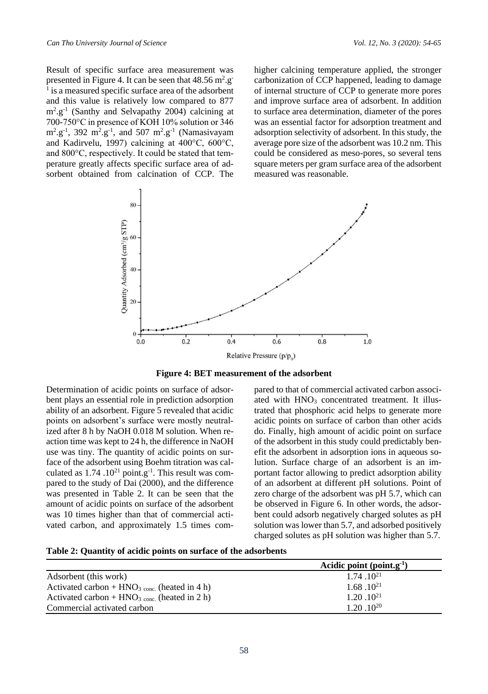Result of specific surface area measurement was presented in Figure 4. It can be seen that  $48.56 \text{ m}^2 \text{.g}$ <sup>1</sup> is a measured specific surface area of the adsorbent and this value is relatively low compared to 877 m<sup>2</sup> .g-1 (Santhy and Selvapathy 2004) calcining at 700-750°C in presence of KOH 10% solution or 346  $\rm m^2.g^{-1}$ , 392  $\rm m^2.g^{-1}$ , and 507  $\rm m^2.g^{-1}$  (Namasivayam and Kadirvelu, 1997) calcining at 400°C, 600°C, and 800°C, respectively. It could be stated that temperature greatly affects specific surface area of adsorbent obtained from calcination of CCP. The

higher calcining temperature applied, the stronger carbonization of CCP happened, leading to damage of internal structure of CCP to generate more pores and improve surface area of adsorbent. In addition to surface area determination, diameter of the pores was an essential factor for adsorption treatment and adsorption selectivity of adsorbent. In this study, the average pore size of the adsorbent was 10.2 nm. This could be considered as meso-pores, so several tens square meters per gram surface area of the adsorbent measured was reasonable.



**Figure 4: BET measurement of the adsorbent**

Determination of acidic points on surface of adsorbent plays an essential role in prediction adsorption ability of an adsorbent. Figure 5 revealed that acidic points on adsorbent's surface were mostly neutralized after 8 h by NaOH 0.018 M solution. When reaction time was kept to 24 h, the difference in NaOH use was tiny. The quantity of acidic points on surface of the adsorbent using Boehm titration was calculated as  $1.74 \cdot 10^{21}$  point.g<sup>-1</sup>. This result was compared to the study of Dai (2000), and the difference was presented in Table 2. It can be seen that the amount of acidic points on surface of the adsorbent was 10 times higher than that of commercial activated carbon, and approximately 1.5 times compared to that of commercial activated carbon associated with  $HNO<sub>3</sub>$  concentrated treatment. It illustrated that phosphoric acid helps to generate more acidic points on surface of carbon than other acids do. Finally, high amount of acidic point on surface of the adsorbent in this study could predictably benefit the adsorbent in adsorption ions in aqueous solution. Surface charge of an adsorbent is an important factor allowing to predict adsorption ability of an adsorbent at different pH solutions. Point of zero charge of the adsorbent was pH 5.7, which can be observed in Figure 6. In other words, the adsorbent could adsorb negatively charged solutes as pH solution was lower than 5.7, and adsorbed positively charged solutes as pH solution was higher than 5.7.

|                                                            | Acidic point (point.g <sup>-1</sup> ) |
|------------------------------------------------------------|---------------------------------------|
| Adsorbent (this work)                                      | $1.74 \cdot 10^{21}$                  |
| Activated carbon + $HNO3$ <sub>conc.</sub> (heated in 4 h) | $1.68 \, .10^{21}$                    |
| Activated carbon + $HNO3$ conc. (heated in 2 h)            | $1.20 \cdot 10^{21}$                  |
| Commercial activated carbon                                | $1.20 \cdot 10^{20}$                  |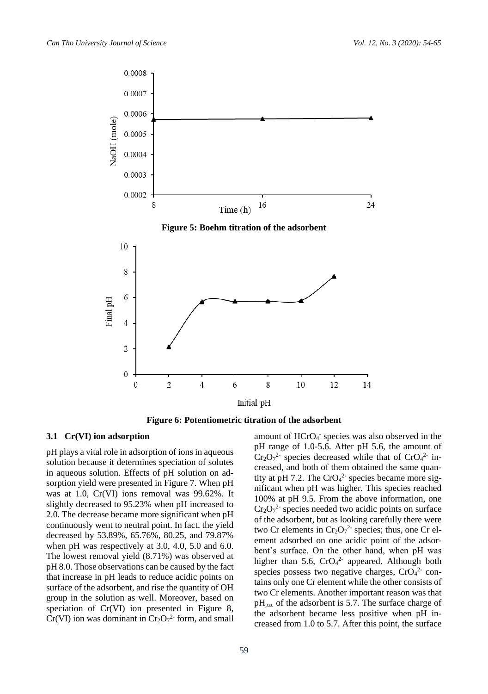

**Figure 6: Potentiometric titration of the adsorbent**

# **3.1 Cr(VI) ion adsorption**

pH plays a vital role in adsorption of ions in aqueous solution because it determines speciation of solutes in aqueous solution. Effects of pH solution on adsorption yield were presented in Figure 7. When pH was at 1.0, Cr(VI) ions removal was 99.62%. It slightly decreased to 95.23% when pH increased to 2.0. The decrease became more significant when pH continuously went to neutral point. In fact, the yield decreased by 53.89%, 65.76%, 80.25, and 79.87% when pH was respectively at 3.0, 4.0, 5.0 and 6.0. The lowest removal yield (8.71%) was observed at pH 8.0. Those observations can be caused by the fact that increase in pH leads to reduce acidic points on surface of the adsorbent, and rise the quantity of OH group in the solution as well. Moreover, based on speciation of Cr(VI) ion presented in Figure 8,  $Cr(VI)$  ion was dominant in  $Cr_2O_7^2$  form, and small

amount of HCrO<sub>4</sub><sup>-</sup> species was also observed in the pH range of 1.0-5.6. After pH 5.6, the amount of  $Cr_2O_7^2$  species decreased while that of  $CrO_4^2$  increased, and both of them obtained the same quantity at pH 7.2. The  $CrO<sub>4</sub><sup>2</sup>$  species became more significant when pH was higher. This species reached 100% at pH 9.5. From the above information, one  $Cr_2O_7^2$  species needed two acidic points on surface of the adsorbent, but as looking carefully there were two Cr elements in  $Cr_2O_7^2$  species; thus, one Cr element adsorbed on one acidic point of the adsorbent's surface. On the other hand, when pH was higher than 5.6,  $CrO<sub>4</sub><sup>2</sup>$  appeared. Although both species possess two negative charges,  $CrO<sub>4</sub><sup>2-</sup>$  contains only one Cr element while the other consists of two Cr elements. Another important reason was that  $pH<sub>pzc</sub>$  of the adsorbent is 5.7. The surface charge of the adsorbent became less positive when pH increased from 1.0 to 5.7. After this point, the surface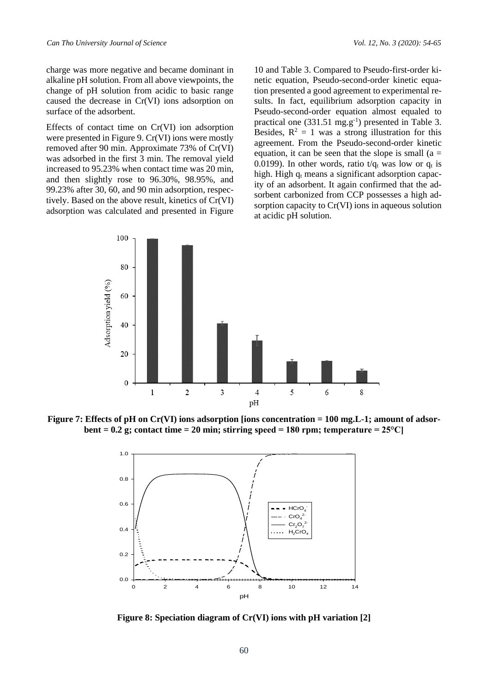charge was more negative and became dominant in alkaline pH solution. From all above viewpoints, the change of pH solution from acidic to basic range caused the decrease in Cr(VI) ions adsorption on surface of the adsorbent.

Effects of contact time on Cr(VI) ion adsorption were presented in Figure 9. Cr(VI) ions were mostly removed after 90 min. Approximate 73% of Cr(VI) was adsorbed in the first 3 min. The removal yield increased to 95.23% when contact time was 20 min, and then slightly rose to 96.30%, 98.95%, and 99.23% after 30, 60, and 90 min adsorption, respectively. Based on the above result, kinetics of Cr(VI) adsorption was calculated and presented in Figure

10 and Table 3. Compared to Pseudo-first-order kinetic equation, Pseudo-second-order kinetic equation presented a good agreement to experimental results. In fact, equilibrium adsorption capacity in Pseudo-second-order equation almost equaled to practical one  $(331.51 \text{ mg} \cdot \text{g}^{-1})$  presented in Table 3. Besides,  $R^2 = 1$  was a strong illustration for this agreement. From the Pseudo-second-order kinetic equation, it can be seen that the slope is small  $(a =$ 0.0199). In other words, ratio  $t/q_t$  was low or  $q_t$  is high. High  $q_t$  means a significant adsorption capacity of an adsorbent. It again confirmed that the adsorbent carbonized from CCP possesses a high adsorption capacity to Cr(VI) ions in aqueous solution at acidic pH solution.



Figure 7: Effects of pH on Cr(VI) ions adsorption [ions concentration = 100 mg.L-1; amount of adsor**bent = 0.2 g; contact time = 20 min; stirring speed = 180 rpm; temperature = 25°C]**



**Figure 8: Speciation diagram of Cr(VI) ions with pH variation [2]**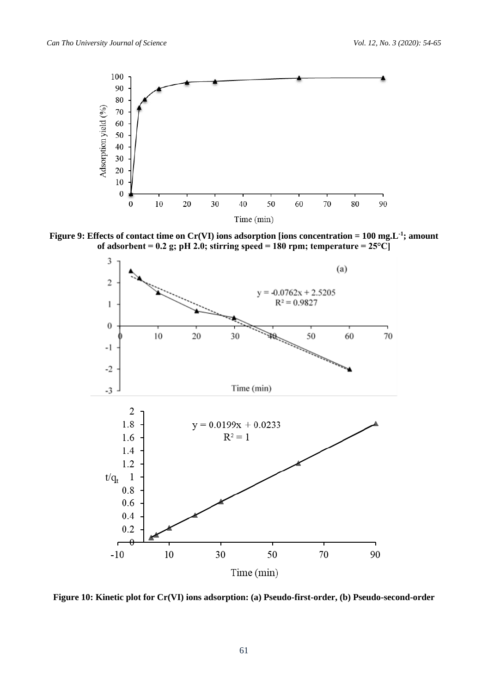

**Figure 9: Effects of contact time on Cr(VI) ions adsorption [ions concentration = 100 mg.L-1 ; amount of adsorbent = 0.2 g; pH 2.0; stirring speed = 180 rpm; temperature = 25°C]**



**Figure 10: Kinetic plot for Cr(VI) ions adsorption: (a) Pseudo-first-order, (b) Pseudo-second-order**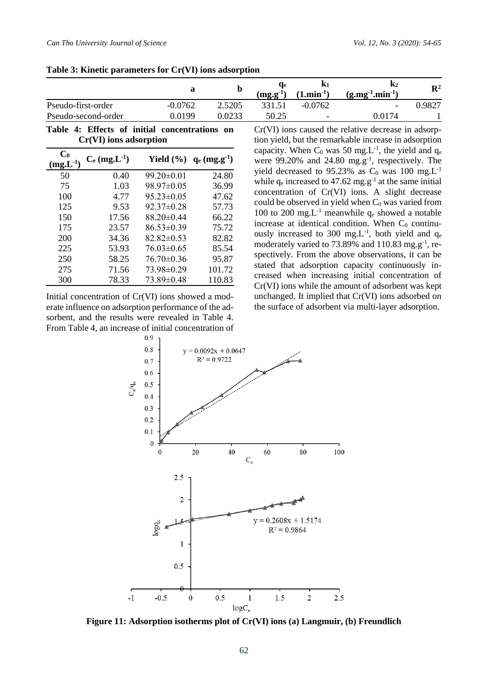**R2**

|                                 |                                                         |                                               | $\mathbf b$<br>a                                                | qе<br>$(mg.g-1)$ | $\mathbf{k}_1$<br>$(1. min-1)$ | $\mathbf{k}_2$<br>(g.mg <sup>1</sup> .min <sup>1</sup> )                                                                                                                                                                                      | $\mathbf{R}^2$ |
|---------------------------------|---------------------------------------------------------|-----------------------------------------------|-----------------------------------------------------------------|------------------|--------------------------------|-----------------------------------------------------------------------------------------------------------------------------------------------------------------------------------------------------------------------------------------------|----------------|
| Pseudo-first-order              |                                                         | $-0.0762$                                     | 2.5205                                                          | 331.51           | $-0.0762$                      |                                                                                                                                                                                                                                               | 0.9827         |
|                                 | Pseudo-second-order                                     | 0.0199                                        | 0.0233                                                          | 50.25            |                                | 0.0174                                                                                                                                                                                                                                        | $\mathbf{I}$   |
| $\mathbf{C}_0$<br>$(mg.L^{-1})$ | $Cr(VI)$ ions adsorption<br>$C_e$ (mg.L <sup>-1</sup> ) | Table 4: Effects of initial concentrations on | <b>Yield</b> $(\%)$ <b>q</b> <sub>e</sub> (mg.g <sup>-1</sup> ) |                  |                                | Cr(VI) ions caused the relative decrease in adsorp-<br>tion yield, but the remarkable increase in adsorption<br>capacity. When $C_0$ was 50 mg.L <sup>-1</sup> , the yield and $q_0$<br>were 99.20% and 24.80 $mg.g^{-1}$ , respectively. The |                |
| 50<br>75                        | 0.40<br>1.03                                            | $99.20 \pm 0.01$<br>$98.97 \pm 0.05$          | 24.80<br>36.99                                                  |                  |                                | yield decreased to 95.23% as $C_0$ was 100 mg.L <sup>-1</sup><br>while $q_e$ increased to 47.62 mg.g <sup>-1</sup> at the same initial                                                                                                        |                |
| 100<br>125                      | 4.77<br>9.53                                            | $95.23 \pm 0.05$<br>$92.37\pm0.28$            | 47.62<br>57.73                                                  |                  |                                | concentration of Cr(VI) ions. A slight decrease<br>could be observed in yield when $C_0$ was varied from<br>100 to 200 mg L <sup>-1</sup> meanwhile q, showed a notable                                                                       |                |
|                                 |                                                         |                                               |                                                                 |                  |                                |                                                                                                                                                                                                                                               |                |

# **Table 3: Kinetic parameters for Cr(VI) ions adsorption**

| ◡┉<br>$(mg.L^{-1})$ | $C_e$ (mg.L <sup>-1</sup> ) | Yield $(\% )$    | $q_e$ (mg.g <sup>-1</sup> ) |
|---------------------|-----------------------------|------------------|-----------------------------|
| 50                  | 0.40                        | $99.20 \pm 0.01$ | 24.80                       |
| 75                  | 1.03                        | $98.97 \pm 0.05$ | 36.99                       |
| 100                 | 4.77                        | $95.23 \pm 0.05$ | 47.62                       |
| 125                 | 9.53                        | $92.37 \pm 0.28$ | 57.73                       |
| 150                 | 17.56                       | $88.20 \pm 0.44$ | 66.22                       |
| 175                 | 23.57                       | $86.53 \pm 0.39$ | 75.72                       |
| 200                 | 34.36                       | $82.82 \pm 0.53$ | 82.82                       |
| 225                 | 53.93                       | $76.03 \pm 0.65$ | 85.54                       |
| 250                 | 58.25                       | $76.70 \pm 0.36$ | 95.87                       |
| 275                 | 71.56                       | 73.98±0.29       | 101.72                      |
| 300                 | 78.33                       | 73.89±0.48       | 110.83                      |

Initial concentration of Cr(VI) ions showed a moderate influence on adsorption performance of the adsorbent, and the results were revealed in Table 4. From Table 4, an increase of initial concentration of

Cr(VI) ions caused the relative decrease in adsorprption and  $q_e$ . The  $ng.L^{-1}$ initial concentration of Cr(VI) ions. A slight decrease could be observed in yield when  $C_0$  was varied from 100 to 200 mg. $L^{-1}$  meanwhile  $q_e$  showed a notable increase at identical condition. When  $C_0$  continuously increased to 300 mg.L<sup>-1</sup>, both yield and  $q_e$ moderately varied to 73.89% and 110.83 mg.g<sup>-1</sup>, respectively. From the above observations, it can be stated that adsorption capacity continuously increased when increasing initial concentration of Cr(VI) ions while the amount of adsorbent was kept unchanged. It implied that Cr(VI) ions adsorbed on the surface of adsorbent via multi-layer adsorption.



**Figure 11: Adsorption isotherms plot of Cr(VI) ions (a) Langmuir, (b) Freundlich**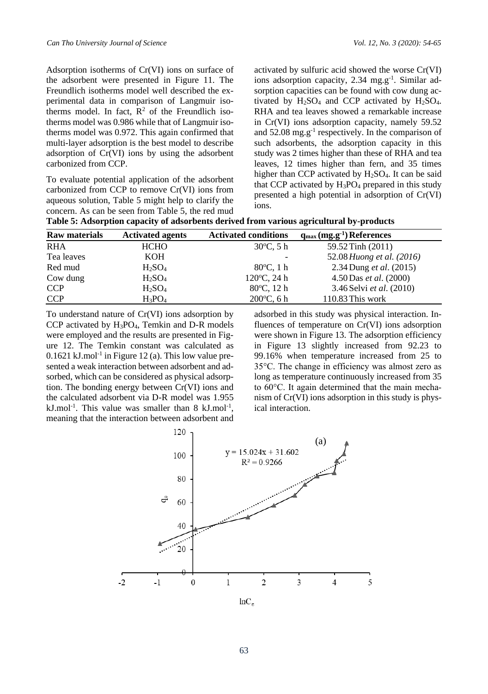Adsorption isotherms of Cr(VI) ions on surface of the adsorbent were presented in Figure 11. The Freundlich isotherms model well described the experimental data in comparison of Langmuir isotherms model. In fact,  $R^2$  of the Freundlich isotherms model was 0.986 while that of Langmuir isotherms model was 0.972. This again confirmed that multi-layer adsorption is the best model to describe adsorption of Cr(VI) ions by using the adsorbent carbonized from CCP.

To evaluate potential application of the adsorbent carbonized from CCP to remove Cr(VI) ions from aqueous solution, Table 5 might help to clarify the concern. As can be seen from Table 5, the red mud activated by sulfuric acid showed the worse Cr(VI) ions adsorption capacity, 2.34 mg.g<sup>-1</sup>. Similar adsorption capacities can be found with cow dung activated by  $H_2SO_4$  and CCP activated by  $H_2SO_4$ . RHA and tea leaves showed a remarkable increase in Cr(VI) ions adsorption capacity, namely 59.52 and  $52.08 \text{ mg} \cdot \text{g}^{-1}$  respectively. In the comparison of such adsorbents, the adsorption capacity in this study was 2 times higher than these of RHA and tea leaves, 12 times higher than fern, and 35 times higher than CCP activated by  $H_2SO_4$ . It can be said that CCP activated by  $H_3PO_4$  prepared in this study presented a high potential in adsorption of Cr(VI) ions.

|  |  | Table 5: Adsorption capacity of adsorbents derived from various agricultural by-products |  |  |
|--|--|------------------------------------------------------------------------------------------|--|--|
|  |  |                                                                                          |  |  |

| <b>Raw materials</b> | <b>Activated agents</b>        | <b>Activated conditions</b> | $q_{max}(mg.g^{-1})$ References |
|----------------------|--------------------------------|-----------------------------|---------------------------------|
| <b>RHA</b>           | <b>HCHO</b>                    | $30^{\circ}$ C, 5 h         | 59.52 Tinh (2011)               |
| Tea leaves           | KOH                            |                             | 52.08 Huong et al. (2016)       |
| Red mud              | H <sub>2</sub> SO <sub>4</sub> | $80^{\circ}$ C, 1 h         | 2.34 Dung et al. (2015)         |
| Cow dung             | $H_2SO_4$                      | $120^{\circ}$ C, 24 h       | 4.50 Das et al. (2000)          |
| <b>CCP</b>           | H <sub>2</sub> SO <sub>4</sub> | $80^{\circ}$ C, 12 h        | 3.46 Selvi et al. (2010)        |
| <b>CCP</b>           | $H_3PO_4$                      | $200^{\circ}$ C, 6 h        | 110.83 This work                |

To understand nature of Cr(VI) ions adsorption by CCP activated by H3PO4, Temkin and D-R models were employed and the results are presented in Figure 12. The Temkin constant was calculated as  $0.1621$  kJ.mol<sup>-1</sup> in Figure 12 (a). This low value presented a weak interaction between adsorbent and adsorbed, which can be considered as physical adsorption. The bonding energy between Cr(VI) ions and the calculated adsorbent via D-R model was 1.955  $kJ$ .mol<sup>-1</sup>. This value was smaller than 8  $kJ$ .mol<sup>-1</sup>, meaning that the interaction between adsorbent and

adsorbed in this study was physical interaction. Influences of temperature on Cr(VI) ions adsorption were shown in Figure 13. The adsorption efficiency in Figure 13 slightly increased from 92.23 to 99.16% when temperature increased from 25 to 35°C. The change in efficiency was almost zero as long as temperature continuously increased from 35 to 60°C. It again determined that the main mechanism of Cr(VI) ions adsorption in this study is physical interaction.



 $lnC_e$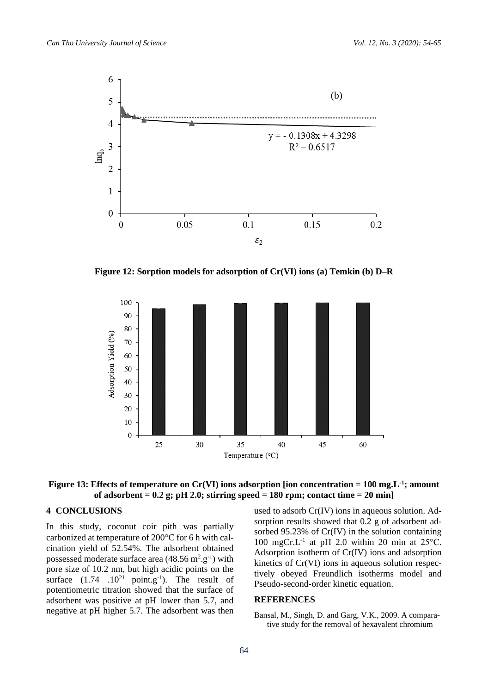

**Figure 12: Sorption models for adsorption of Cr(VI) ions (a) Temkin (b) D–R**



### **Figure 13: Effects of temperature on Cr(VI) ions adsorption [ion concentration = 100 mg.L-1 ; amount of adsorbent = 0.2 g; pH 2.0; stirring speed = 180 rpm; contact time = 20 min]**

#### **4 CONCLUSIONS**

In this study, coconut coir pith was partially carbonized at temperature of 200°C for 6 h with calcination yield of 52.54%. The adsorbent obtained possessed moderate surface area  $(48.56 \text{ m}^2 \text{.} \text{g}^{-1})$  with pore size of 10.2 nm, but high acidic points on the surface  $(1.74 \t .10^{21} \text{ point.g}^{-1})$ . The result of potentiometric titration showed that the surface of adsorbent was positive at pH lower than 5.7, and negative at pH higher 5.7. The adsorbent was then

used to adsorb Cr(IV) ions in aqueous solution. Adsorption results showed that 0.2 g of adsorbent adsorbed 95.23% of Cr(IV) in the solution containing 100 mgCr.L<sup>-1</sup> at pH 2.0 within 20 min at 25 $^{\circ}$ C. Adsorption isotherm of Cr(IV) ions and adsorption kinetics of Cr(VI) ions in aqueous solution respectively obeyed Freundlich isotherms model and Pseudo-second-order kinetic equation.

#### **REFERENCES**

Bansal, M., Singh, D. and Garg, V.K., 2009. A comparative study for the removal of hexavalent chromium